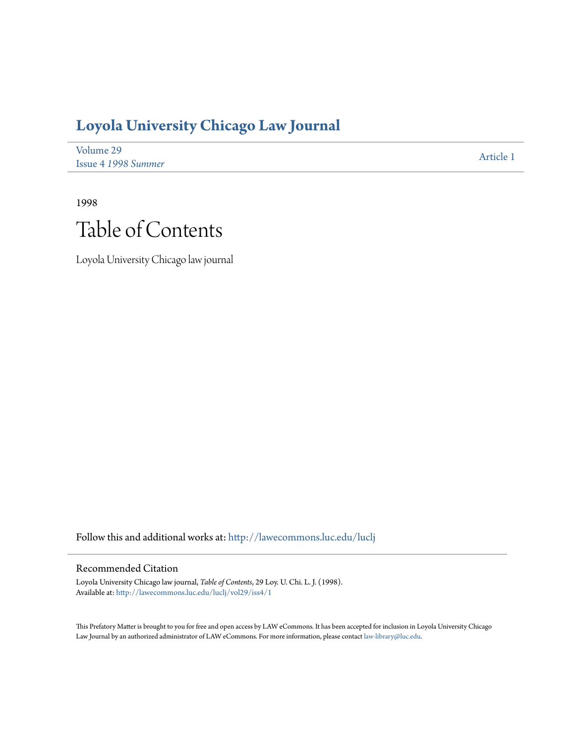## **[Loyola University Chicago Law Journal](http://lawecommons.luc.edu/luclj?utm_source=lawecommons.luc.edu%2Fluclj%2Fvol29%2Fiss4%2F1&utm_medium=PDF&utm_campaign=PDFCoverPages)**

| Volume 29           | Article 1 |
|---------------------|-----------|
| Issue 4 1998 Summer |           |

1998 Table of Contents

Loyola University Chicago law journal

Follow this and additional works at: [http://lawecommons.luc.edu/luclj](http://lawecommons.luc.edu/luclj?utm_source=lawecommons.luc.edu%2Fluclj%2Fvol29%2Fiss4%2F1&utm_medium=PDF&utm_campaign=PDFCoverPages)

#### Recommended Citation

Loyola University Chicago law journal, *Table of Contents*, 29 Loy. U. Chi. L. J. (1998). Available at: [http://lawecommons.luc.edu/luclj/vol29/iss4/1](http://lawecommons.luc.edu/luclj/vol29/iss4/1?utm_source=lawecommons.luc.edu%2Fluclj%2Fvol29%2Fiss4%2F1&utm_medium=PDF&utm_campaign=PDFCoverPages)

This Prefatory Matter is brought to you for free and open access by LAW eCommons. It has been accepted for inclusion in Loyola University Chicago Law Journal by an authorized administrator of LAW eCommons. For more information, please contact [law-library@luc.edu.](mailto:law-library@luc.edu)